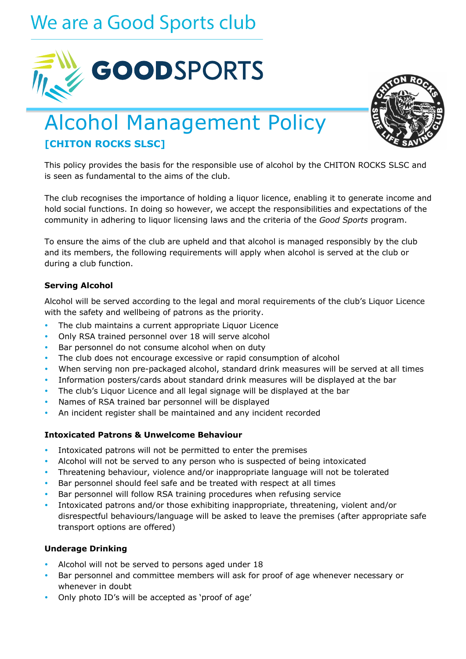# We are a Good Sports club





# Alcohol Management Policy **[CHITON ROCKS SLSC]**

This policy provides the basis for the responsible use of alcohol by the CHITON ROCKS SLSC and is seen as fundamental to the aims of the club.

The club recognises the importance of holding a liquor licence, enabling it to generate income and hold social functions. In doing so however, we accept the responsibilities and expectations of the community in adhering to liquor licensing laws and the criteria of the *Good Sports* program.

To ensure the aims of the club are upheld and that alcohol is managed responsibly by the club and its members, the following requirements will apply when alcohol is served at the club or during a club function.

### **Serving Alcohol**

Alcohol will be served according to the legal and moral requirements of the club's Liquor Licence with the safety and wellbeing of patrons as the priority.

- The club maintains a current appropriate Liquor Licence
- Only RSA trained personnel over 18 will serve alcohol
- Bar personnel do not consume alcohol when on duty
- The club does not encourage excessive or rapid consumption of alcohol
- When serving non pre-packaged alcohol, standard drink measures will be served at all times
- Information posters/cards about standard drink measures will be displayed at the bar
- The club's Liquor Licence and all legal signage will be displayed at the bar
- Names of RSA trained bar personnel will be displayed
- An incident register shall be maintained and any incident recorded

#### **Intoxicated Patrons & Unwelcome Behaviour**

- Intoxicated patrons will not be permitted to enter the premises
- Alcohol will not be served to any person who is suspected of being intoxicated
- Threatening behaviour, violence and/or inappropriate language will not be tolerated
- Bar personnel should feel safe and be treated with respect at all times
- Bar personnel will follow RSA training procedures when refusing service
- Intoxicated patrons and/or those exhibiting inappropriate, threatening, violent and/or disrespectful behaviours/language will be asked to leave the premises (after appropriate safe transport options are offered)

#### **Underage Drinking**

- Alcohol will not be served to persons aged under 18
- Bar personnel and committee members will ask for proof of age whenever necessary or whenever in doubt
- Only photo ID's will be accepted as 'proof of age'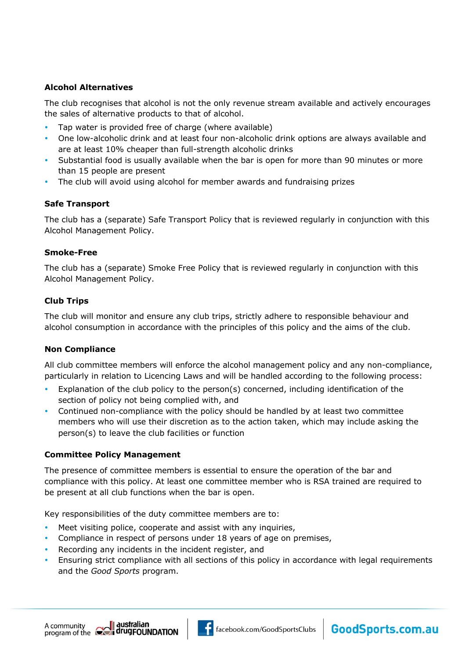# **Alcohol Alternatives**

The club recognises that alcohol is not the only revenue stream available and actively encourages the sales of alternative products to that of alcohol.

- Tap water is provided free of charge (where available)
- One low-alcoholic drink and at least four non-alcoholic drink options are always available and are at least 10% cheaper than full-strength alcoholic drinks
- Substantial food is usually available when the bar is open for more than 90 minutes or more than 15 people are present
- The club will avoid using alcohol for member awards and fundraising prizes

### **Safe Transport**

The club has a (separate) Safe Transport Policy that is reviewed regularly in conjunction with this Alcohol Management Policy.

### **Smoke-Free**

The club has a (separate) Smoke Free Policy that is reviewed regularly in conjunction with this Alcohol Management Policy.

# **Club Trips**

The club will monitor and ensure any club trips, strictly adhere to responsible behaviour and alcohol consumption in accordance with the principles of this policy and the aims of the club.

### **Non Compliance**

All club committee members will enforce the alcohol management policy and any non-compliance, particularly in relation to Licencing Laws and will be handled according to the following process:

- Explanation of the club policy to the person(s) concerned, including identification of the section of policy not being complied with, and
- Continued non-compliance with the policy should be handled by at least two committee members who will use their discretion as to the action taken, which may include asking the person(s) to leave the club facilities or function

### **Committee Policy Management**

The presence of committee members is essential to ensure the operation of the bar and compliance with this policy. At least one committee member who is RSA trained are required to be present at all club functions when the bar is open.

Key responsibilities of the duty committee members are to:

- Meet visiting police, cooperate and assist with any inquiries,
- Compliance in respect of persons under 18 years of age on premises,
- Recording any incidents in the incident register, and
- Ensuring strict compliance with all sections of this policy in accordance with legal requirements and the *Good Sports* program.